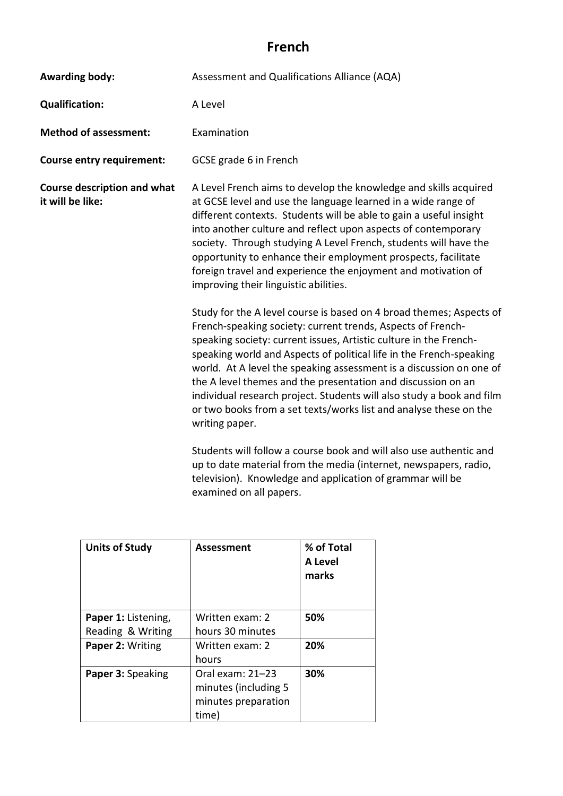## **French**

| <b>Awarding body:</b>                                  | Assessment and Qualifications Alliance (AQA)                                                                                                                                                                                                                                                                                                                                                                                                                                                                                                                                          |  |
|--------------------------------------------------------|---------------------------------------------------------------------------------------------------------------------------------------------------------------------------------------------------------------------------------------------------------------------------------------------------------------------------------------------------------------------------------------------------------------------------------------------------------------------------------------------------------------------------------------------------------------------------------------|--|
| <b>Qualification:</b>                                  | A Level                                                                                                                                                                                                                                                                                                                                                                                                                                                                                                                                                                               |  |
| <b>Method of assessment:</b>                           | Examination                                                                                                                                                                                                                                                                                                                                                                                                                                                                                                                                                                           |  |
| <b>Course entry requirement:</b>                       | GCSE grade 6 in French                                                                                                                                                                                                                                                                                                                                                                                                                                                                                                                                                                |  |
| <b>Course description and what</b><br>it will be like: | A Level French aims to develop the knowledge and skills acquired<br>at GCSE level and use the language learned in a wide range of<br>different contexts. Students will be able to gain a useful insight<br>into another culture and reflect upon aspects of contemporary<br>society. Through studying A Level French, students will have the<br>opportunity to enhance their employment prospects, facilitate<br>foreign travel and experience the enjoyment and motivation of<br>improving their linguistic abilities.                                                               |  |
|                                                        | Study for the A level course is based on 4 broad themes; Aspects of<br>French-speaking society: current trends, Aspects of French-<br>speaking society: current issues, Artistic culture in the French-<br>speaking world and Aspects of political life in the French-speaking<br>world. At A level the speaking assessment is a discussion on one of<br>the A level themes and the presentation and discussion on an<br>individual research project. Students will also study a book and film<br>or two books from a set texts/works list and analyse these on the<br>writing paper. |  |
|                                                        | Students will follow a course book and will also use authentic and<br>up to date material from the media (internet, newspapers, radio,<br>television). Knowledge and application of grammar will be<br>examined on all papers.                                                                                                                                                                                                                                                                                                                                                        |  |

| <b>Units of Study</b> | Assessment           | % of Total<br>A Level<br>marks |
|-----------------------|----------------------|--------------------------------|
| Paper 1: Listening,   | Written exam: 2      | 50%                            |
| Reading & Writing     | hours 30 minutes     |                                |
| Paper 2: Writing      | Written exam: 2      | 20%                            |
|                       | hours                |                                |
| Paper 3: Speaking     | Oral exam: 21-23     | 30%                            |
|                       | minutes (including 5 |                                |
|                       | minutes preparation  |                                |
|                       | time)                |                                |